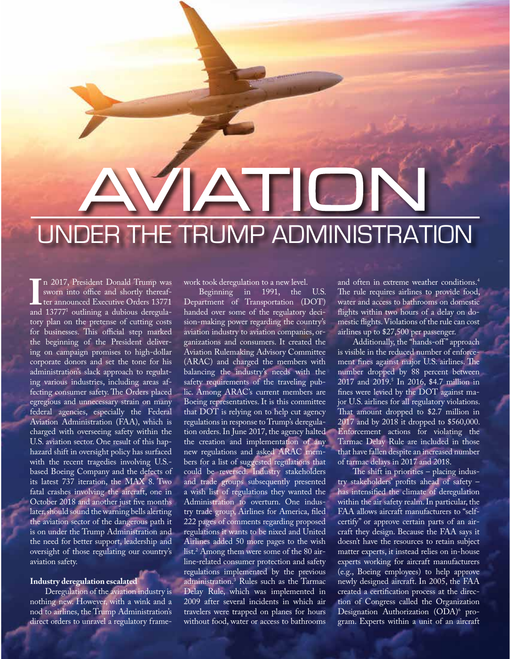# AVIA AVIA UNDER THE TRUMP ADMINISTRATION

II 2017, Fresheim Donald Fruity was<br>sworn into office and shortly thereaf-<br>ter announced Executive Orders 13771<br>and 13777<sup>1</sup> outlining a dubious deregulan 2017, President Donald Trump was sworn into office and shortly thereafter announced Executive Orders 13771 tory plan on the pretense of cutting costs for businesses. This official step marked the beginning of the President delivering on campaign promises to high-dollar corporate donors and set the tone for his administration's slack approach to regulating various industries, including areas affecting consumer safety. The Orders placed egregious and unnecessary strain on many federal agencies, especially the Federal Aviation Administration (FAA), which is charged with overseeing safety within the U.S. aviation sector. One result of this haphazard shift in oversight policy has surfaced with the recent tragedies involving U.S. based Boeing Company and the defects of its latest 737 iteration, the MAX 8. Two fatal crashes involving the aircraft, one in October 2018 and another just five months later, should sound the warning bells alerting the aviation sector of the dangerous path it is on under the Trump Administration and the need for better support, leadership and oversight of those regulating our country's aviation safety.

## **Industry deregulation escalated**

Deregulation of the aviation industry is nothing new. However, with a wink and a nod to airlines, the Trump Administration's direct orders to unravel a regulatory framework took deregulation to a new level.

Beginning in 1991, the U.S. Department of Transportation (DOT) handed over some of the regulatory decision-making power regarding the country's aviation industry to aviation companies, organizations and consumers. It created the Aviation Rulemaking Advisory Committee (ARAC) and charged the members with balancing the industry's needs with the safety requirements of the traveling public. Among ARAC's current members are Boeing representatives. It is this committee that DOT is relying on to help cut agency regulations in response to Trump's deregulation orders. In June 2017, the agency halted the creation and implementation of any new regulations and asked ARAC members for a list of suggested regulations that could be reversed. Industry stakeholders and trade groups subsequently presented a wish list of regulations they wanted the Administration to overturn. One industry trade group, Airlines for America, filed 222 pages of comments regarding proposed regulations it wants to be nixed and United Airlines added 50 more pages to the wish list.2 Among them were some of the 80 airline-related consumer protection and safety regulations implemented by the previous administration.3 Rules such as the Tarmac Delay Rule, which was implemented in 2009 after several incidents in which air travelers were trapped on planes for hours without food, water or access to bathrooms

and often in extreme weather conditions.4 The rule requires airlines to provide food, water and access to bathrooms on domestic flights within two hours of a delay on domestic flights. Violations of the rule can cost airlines up to \$27,500 per passenger.

Additionally, the "hands-off" approach is visible in the reduced number of enforcement fines against major U.S. airlines. The number dropped by 88 percent between 2017 and 2019.5 In 2016, \$4.7 million in fines were levied by the DOT against major U.S. airlines for all regulatory violations. That amount dropped to \$2.7 million in 2017 and by 2018 it dropped to \$560,000. Enforcement actions for violating the Tarmac Delay Rule are included in those that have fallen despite an increased number of tarmac delays in 2017 and 2018.

The shift in priorities – placing industry stakeholders' profits ahead of safety – has intensified the climate of deregulation within the air safety realm. In particular, the FAA allows aircraft manufacturers to "selfcertify" or approve certain parts of an aircraft they design. Because the FAA says it doesn't have the resources to retain subject matter experts, it instead relies on in-house experts working for aircraft manufacturers (e.g., Boeing employees) to help approve newly designed aircraft. In 2005, the FAA created a certification process at the direction of Congress called the Organization Designation Authorization (ODA)<sup>6</sup> program. Experts within a unit of an aircraft

WWW.ALABAMAJUSTICE.ORG SPRING 2019 | 39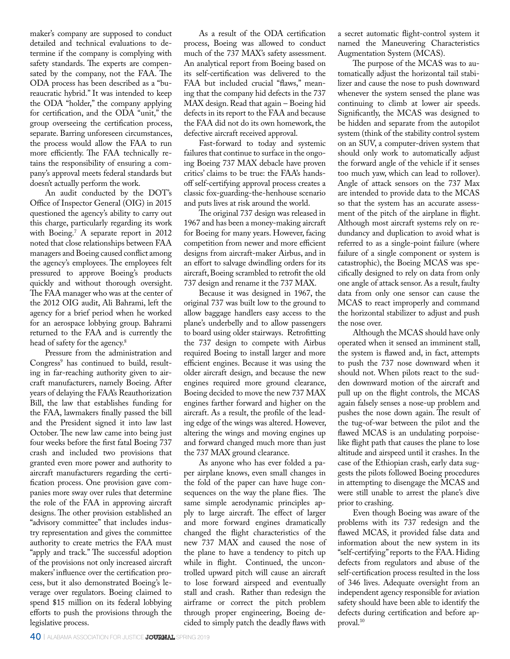maker's company are supposed to conduct detailed and technical evaluations to determine if the company is complying with safety standards. The experts are compensated by the company, not the FAA. The ODA process has been described as a "bureaucratic hybrid." It was intended to keep the ODA "holder," the company applying for certification, and the ODA "unit," the group overseeing the certification process, separate. Barring unforeseen circumstances, the process would allow the FAA to run more efficiently. The FAA technically retains the responsibility of ensuring a company's approval meets federal standards but doesn't actually perform the work.

An audit conducted by the DOT's Office of Inspector General (OIG) in 2015 questioned the agency's ability to carry out this charge, particularly regarding its work with Boeing.7 A separate report in 2012 noted that close relationships between FAA managers and Boeing caused conflict among the agency's employees. The employees felt pressured to approve Boeing's products quickly and without thorough oversight. The FAA manager who was at the center of the 2012 OIG audit, Ali Bahrami, left the agency for a brief period when he worked for an aerospace lobbying group. Bahrami returned to the FAA and is currently the head of safety for the agency.8

Pressure from the administration and Congress<sup>9</sup> has continued to build, resulting in far-reaching authority given to aircraft manufacturers, namely Boeing. After years of delaying the FAA's Reauthorization Bill, the law that establishes funding for the FAA, lawmakers finally passed the bill and the President signed it into law last October. The new law came into being just four weeks before the first fatal Boeing 737 crash and included two provisions that granted even more power and authority to aircraft manufacturers regarding the certification process. One provision gave companies more sway over rules that determine the role of the FAA in approving aircraft designs. The other provision established an "advisory committee" that includes industry representation and gives the committee authority to create metrics the FAA must "apply and track." The successful adoption of the provisions not only increased aircraft makers' influence over the certification process, but it also demonstrated Boeing's leverage over regulators. Boeing claimed to spend \$15 million on its federal lobbying efforts to push the provisions through the legislative process.

As a result of the ODA certification process, Boeing was allowed to conduct much of the 737 MAX's safety assessment. An analytical report from Boeing based on its self-certification was delivered to the FAA but included crucial "flaws," meaning that the company hid defects in the 737 MAX design. Read that again – Boeing hid defects in its report to the FAA and because the FAA did not do its own homework, the defective aircraft received approval.

Fast-forward to today and systemic failures that continue to surface in the ongoing Boeing 737 MAX debacle have proven critics' claims to be true: the FAA's handsoff self-certifying approval process creates a classic fox-guarding-the-henhouse scenario and puts lives at risk around the world.

The original 737 design was released in 1967 and has been a money-making aircraft for Boeing for many years. However, facing competition from newer and more efficient designs from aircraft-maker Airbus, and in an effort to salvage dwindling orders for its aircraft, Boeing scrambled to retrofit the old 737 design and rename it the 737 MAX.

Because it was designed in 1967, the original 737 was built low to the ground to allow baggage handlers easy access to the plane's underbelly and to allow passengers to board using older stairways. Retrofitting the 737 design to compete with Airbus required Boeing to install larger and more efficient engines. Because it was using the older aircraft design, and because the new engines required more ground clearance, Boeing decided to move the new 737 MAX engines farther forward and higher on the aircraft. As a result, the profile of the leading edge of the wings was altered. However, altering the wings and moving engines up and forward changed much more than just the 737 MAX ground clearance.

As anyone who has ever folded a paper airplane knows, even small changes in the fold of the paper can have huge consequences on the way the plane flies. The same simple aerodynamic principles apply to large aircraft. The effect of larger and more forward engines dramatically changed the flight characteristics of the new 737 MAX and caused the nose of the plane to have a tendency to pitch up while in flight. Continued, the uncontrolled upward pitch will cause an aircraft to lose forward airspeed and eventually stall and crash. Rather than redesign the airframe or correct the pitch problem through proper engineering, Boeing decided to simply patch the deadly flaws with

a secret automatic flight-control system it named the Maneuvering Characteristics Augmentation System (MCAS).

The purpose of the MCAS was to automatically adjust the horizontal tail stabilizer and cause the nose to push downward whenever the system sensed the plane was continuing to climb at lower air speeds. Significantly, the MCAS was designed to be hidden and separate from the autopilot system (think of the stability control system on an SUV, a computer-driven system that should only work to automatically adjust the forward angle of the vehicle if it senses too much yaw, which can lead to rollover). Angle of attack sensors on the 737 Max are intended to provide data to the MCAS so that the system has an accurate assessment of the pitch of the airplane in flight. Although most aircraft systems rely on redundancy and duplication to avoid what is referred to as a single-point failure (where failure of a single component or system is catastrophic), the Boeing MCAS was specifically designed to rely on data from only one angle of attack sensor. As a result, faulty data from only one sensor can cause the MCAS to react improperly and command the horizontal stabilizer to adjust and push the nose over.

Although the MCAS should have only operated when it sensed an imminent stall, the system is flawed and, in fact, attempts to push the 737 nose downward when it should not. When pilots react to the sudden downward motion of the aircraft and pull up on the flight controls, the MCAS again falsely senses a nose-up problem and pushes the nose down again. The result of the tug-of-war between the pilot and the flawed MCAS is an undulating porpoiselike flight path that causes the plane to lose altitude and airspeed until it crashes. In the case of the Ethiopian crash, early data suggests the pilots followed Boeing procedures in attempting to disengage the MCAS and were still unable to arrest the plane's dive prior to crashing.

Even though Boeing was aware of the problems with its 737 redesign and the flawed MCAS, it provided false data and information about the new system in its "self-certifying" reports to the FAA. Hiding defects from regulators and abuse of the self-certification process resulted in the loss of 346 lives. Adequate oversight from an independent agency responsible for aviation safety should have been able to identify the defects during certification and before approval.10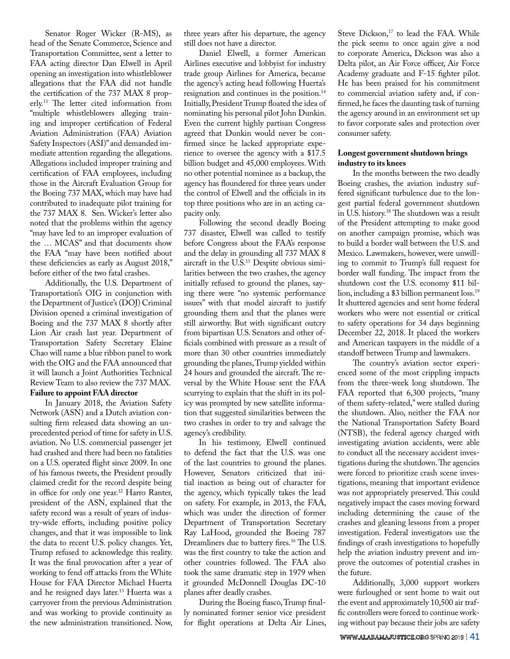Senator Roger Wicker (R-MS), as head of the Senate Commerce, Science and Transportation Committee, sent a letter to FAA acting director Dan Elwell in April opening an investigation into whistleblower allegations that the FAA did not handle the certification of the 737 MAX 8 properly.11 The letter cited information from "multiple whistleblowers alleging training and improper certification of Federal Aviation Administration (FAA) Aviation Safety Inspectors (ASI)" and demanded immediate attention regarding the allegations. Allegations included improper training and certification of FAA employees, including those in the Aircraft Evaluation Group for the Boeing 737 MAX, which may have had contributed to inadequate pilot training for the 737 MAX 8. Sen. Wicker's letter also noted that the problems within the agency "may have led to an improper evaluation of the … MCAS" and that documents show the FAA "may have been notified about these deficiencies as early as August 2018," before either of the two fatal crashes.

Additionally, the U.S. Department of Transportation's OIG in conjunction with the Department of Justice's (DOJ) Criminal Division opened a criminal investigation of Boeing and the 737 MAX 8 shortly after Lion Air crash last year. Department of Transportation Safety Secretary Elaine Chao will name a blue ribbon panel to work with the OIG and the FAA announced that it will launch a Joint Authorities Technical Review Team to also review the 737 MAX. **Failure to appoint FAA director** 

In January 2018, the Aviation Safety Network (ASN) and a Dutch aviation consulting firm released data showing an unprecedented period of time for safety in U.S. aviation. No U.S. commercial passenger jet had crashed and there had been no fatalities on a U.S. operated flight since 2009. In one of his famous tweets, the President proudly claimed credit for the record despite being in office for only one year.12 Harro Ranter, president of the ASN, explained that the safety record was a result of years of industry-wide efforts, including positive policy changes, and that it was impossible to link the data to recent U.S. policy changes. Yet, Trump refused to acknowledge this reality. It was the final provocation after a year of working to fend off attacks from the White House for FAA Director Michael Huerta and he resigned days later.<sup>13</sup> Huerta was a carryover from the previous Administration and was working to provide continuity as the new administration transitioned. Now,

three years after his departure, the agency still does not have a director.

Daniel Elwell, a former American Airlines executive and lobbyist for industry trade group Airlines for America, became the agency's acting head following Huerta's resignation and continues in the position.14 Initially, President Trump floated the idea of nominating his personal pilot John Dunkin. Even the current highly partisan Congress agreed that Dunkin would never be confirmed since he lacked appropriate experience to oversee the agency with a \$17.5 billion budget and 45,000 employees. With no other potential nominee as a backup, the agency has floundered for three years under the control of Elwell and the officials in its top three positions who are in an acting capacity only.

Following the second deadly Boeing 737 disaster, Elwell was called to testify before Congress about the FAA's response and the delay in grounding all 737 MAX 8 aircraft in the U.S.<sup>15</sup> Despite obvious similarities between the two crashes, the agency initially refused to ground the planes, saying there were "no systemic performance issues" with that model aircraft to justify grounding them and that the planes were still airworthy. But with significant outcry from bipartisan U.S. Senators and other officials combined with pressure as a result of more than 30 other countries immediately grounding the planes, Trump yielded within 24 hours and grounded the aircraft. The reversal by the White House sent the FAA scurrying to explain that the shift in its policy was prompted by new satellite information that suggested similarities between the two crashes in order to try and salvage the agency's credibility.

In his testimony, Elwell continued to defend the fact that the U.S. was one of the last countries to ground the planes. However, Senators criticized that initial inaction as being out of character for the agency, which typically takes the lead on safety. For example, in 2013, the FAA, which was under the direction of former Department of Transportation Secretary Ray LaHood, grounded the Boeing 787 Dreamliners due to battery fires.<sup>16</sup> The U.S. was the first country to take the action and other countries followed. The FAA also took the same dramatic step in 1979 when it grounded McDonnell Douglas DC-10 planes after deadly crashes.

During the Boeing fiasco, Trump finally nominated former senior vice president for flight operations at Delta Air Lines, Steve Dickson,<sup>17</sup> to lead the FAA. While the pick seems to once again give a nod to corporate America, Dickson was also a Delta pilot, an Air Force officer, Air Force Academy graduate and F-15 fighter pilot. He has been praised for his commitment to commercial aviation safety and, if confirmed, he faces the daunting task of turning the agency around in an environment set up to favor corporate sales and protection over consumer safety.

# **Longest government shutdown brings industry to its knees**

In the months between the two deadly Boeing crashes, the aviation industry suffered significant turbulence due to the longest partial federal government shutdown in U.S. history.18 The shutdown was a result of the President attempting to make good on another campaign promise, which was to build a border wall between the U.S. and Mexico. Lawmakers, however, were unwilling to commit to Trump's full request for border wall funding. The impact from the shutdown cost the U.S. economy \$11 billion, including a \$3 billion permanent loss.19 It shuttered agencies and sent home federal workers who were not essential or critical to safety operations for 34 days beginning December 22, 2018. It placed the workers and American taxpayers in the middle of a standoff between Trump and lawmakers.

The country's aviation sector experienced some of the most crippling impacts from the three-week long shutdown. The FAA reported that 6,300 projects, "many of them safety-related," were stalled during the shutdown. Also, neither the FAA nor the National Transportation Safety Board (NTSB), the federal agency charged with investigating aviation accidents, were able to conduct all the necessary accident investigations during the shutdown. The agencies were forced to prioritize crash scene investigations, meaning that important evidence was not appropriately preserved. This could negatively impact the cases moving forward including determining the cause of the crashes and gleaning lessons from a proper investigation. Federal investigators use the findings of crash investigations to hopefully help the aviation industry prevent and improve the outcomes of potential crashes in the future.

Additionally, 3,000 support workers were furloughed or sent home to wait out the event and approximately 10,500 air traffic controllers were forced to continue working without pay because their jobs are safety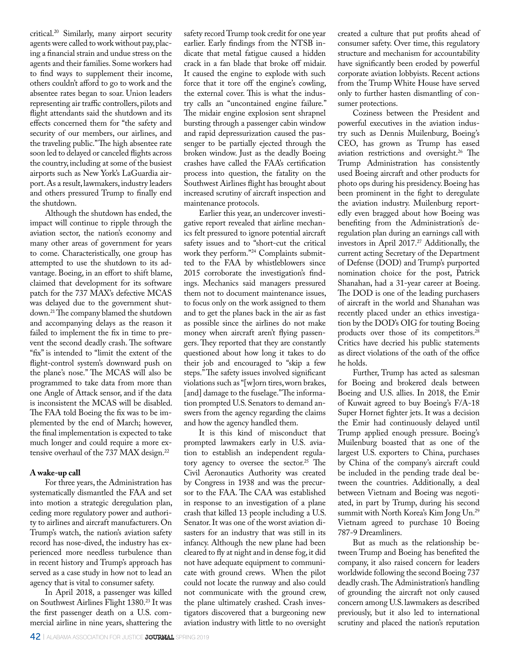critical.20 Similarly, many airport security agents were called to work without pay, placing a financial strain and undue stress on the agents and their families. Some workers had to find ways to supplement their income, others couldn't afford to go to work and the absentee rates began to soar. Union leaders representing air traffic controllers, pilots and flight attendants said the shutdown and its effects concerned them for "the safety and security of our members, our airlines, and the traveling public." The high absentee rate soon led to delayed or canceled flights across the country, including at some of the busiest airports such as New York's LaGuardia airport. As a result, lawmakers, industry leaders and others pressured Trump to finally end the shutdown.

Although the shutdown has ended, the impact will continue to ripple through the aviation sector, the nation's economy and many other areas of government for years to come. Characteristically, one group has attempted to use the shutdown to its advantage. Boeing, in an effort to shift blame, claimed that development for its software patch for the 737 MAX's defective MCAS was delayed due to the government shutdown.21 The company blamed the shutdown and accompanying delays as the reason it failed to implement the fix in time to prevent the second deadly crash. The software "fix" is intended to "limit the extent of the flight-control system's downward push on the plane's nose." The MCAS will also be programmed to take data from more than one Angle of Attack sensor, and if the data is inconsistent the MCAS will be disabled. The FAA told Boeing the fix was to be implemented by the end of March; however, the final implementation is expected to take much longer and could require a more extensive overhaul of the 737 MAX design.<sup>22</sup>

# **A wake-up call**

For three years, the Administration has systematically dismantled the FAA and set into motion a strategic deregulation plan, ceding more regulatory power and authority to airlines and aircraft manufacturers. On Trump's watch, the nation's aviation safety record has nose-dived, the industry has experienced more needless turbulence than in recent history and Trump's approach has served as a case study in how not to lead an agency that is vital to consumer safety.

In April 2018, a passenger was killed on Southwest Airlines Flight 1380.<sup>23</sup> It was the first passenger death on a U.S. commercial airline in nine years, shattering the safety record Trump took credit for one year earlier. Early findings from the NTSB indicate that metal fatigue caused a hidden crack in a fan blade that broke off midair. It caused the engine to explode with such force that it tore off the engine's cowling, the external cover. This is what the industry calls an "uncontained engine failure." The midair engine explosion sent shrapnel bursting through a passenger cabin window and rapid depressurization caused the passenger to be partially ejected through the broken window. Just as the deadly Boeing crashes have called the FAA's certification process into question, the fatality on the Southwest Airlines flight has brought about increased scrutiny of aircraft inspection and maintenance protocols.

Earlier this year, an undercover investigative report revealed that airline mechanics felt pressured to ignore potential aircraft safety issues and to "short-cut the critical work they perform."24 Complaints submitted to the FAA by whistleblowers since 2015 corroborate the investigation's findings. Mechanics said managers pressured them not to document maintenance issues, to focus only on the work assigned to them and to get the planes back in the air as fast as possible since the airlines do not make money when aircraft aren't flying passengers. They reported that they are constantly questioned about how long it takes to do their job and encouraged to "skip a few steps." The safety issues involved significant violations such as "[w]orn tires, worn brakes, [and] damage to the fuselage." The information prompted U.S. Senators to demand answers from the agency regarding the claims and how the agency handled them.

It is this kind of misconduct that prompted lawmakers early in U.S. aviation to establish an independent regulatory agency to oversee the sector.<sup>25</sup> The Civil Aeronautics Authority was created by Congress in 1938 and was the precursor to the FAA. The CAA was established in response to an investigation of a plane crash that killed 13 people including a U.S. Senator. It was one of the worst aviation disasters for an industry that was still in its infancy. Although the new plane had been cleared to fly at night and in dense fog, it did not have adequate equipment to communicate with ground crews. When the pilot could not locate the runway and also could not communicate with the ground crew, the plane ultimately crashed. Crash investigators discovered that a burgeoning new aviation industry with little to no oversight

created a culture that put profits ahead of consumer safety. Over time, this regulatory structure and mechanism for accountability have significantly been eroded by powerful corporate aviation lobbyists. Recent actions from the Trump White House have served only to further hasten dismantling of consumer protections.

Coziness between the President and powerful executives in the aviation industry such as Dennis Muilenburg, Boeing's CEO, has grown as Trump has eased aviation restrictions and oversight.<sup>26</sup> The Trump Administration has consistently used Boeing aircraft and other products for photo ops during his presidency. Boeing has been prominent in the fight to deregulate the aviation industry. Muilenburg reportedly even bragged about how Boeing was benefiting from the Administration's deregulation plan during an earnings call with investors in April 2017.<sup>27</sup> Additionally, the current acting Secretary of the Department of Defense (DOD) and Trump's purported nomination choice for the post, Patrick Shanahan, had a 31-year career at Boeing. The DOD is one of the leading purchasers of aircraft in the world and Shanahan was recently placed under an ethics investigation by the DOD's OIG for touting Boeing products over those of its competitors.<sup>28</sup> Critics have decried his public statements as direct violations of the oath of the office he holds.

Further, Trump has acted as salesman for Boeing and brokered deals between Boeing and U.S. allies. In 2018, the Emir of Kuwait agreed to buy Boeing's F/A-18 Super Hornet fighter jets. It was a decision the Emir had continuously delayed until Trump applied enough pressure. Boeing's Muilenburg boasted that as one of the largest U.S. exporters to China, purchases by China of the company's aircraft could be included in the pending trade deal between the countries. Additionally, a deal between Vietnam and Boeing was negotiated, in part by Trump, during his second summit with North Korea's Kim Jong Un.29 Vietnam agreed to purchase 10 Boeing 787-9 Dreamliners.

But as much as the relationship between Trump and Boeing has benefited the company, it also raised concern for leaders worldwide following the second Boeing 737 deadly crash. The Administration's handling of grounding the aircraft not only caused concern among U.S. lawmakers as described previously, but it also led to international scrutiny and placed the nation's reputation